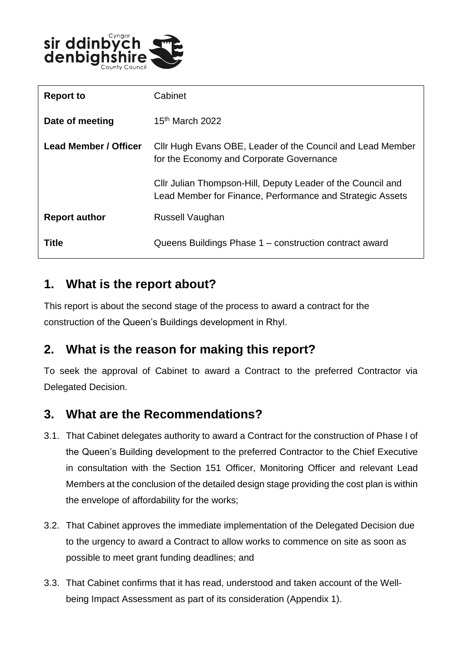

| <b>Report to</b>      | Cabinet                                                                                                                  |
|-----------------------|--------------------------------------------------------------------------------------------------------------------------|
| Date of meeting       | $15th$ March 2022                                                                                                        |
| Lead Member / Officer | Cllr Hugh Evans OBE, Leader of the Council and Lead Member<br>for the Economy and Corporate Governance                   |
|                       | Cllr Julian Thompson-Hill, Deputy Leader of the Council and<br>Lead Member for Finance, Performance and Strategic Assets |
| <b>Report author</b>  | Russell Vaughan                                                                                                          |
| Title                 | Queens Buildings Phase 1 - construction contract award                                                                   |

#### **1. What is the report about?**

This report is about the second stage of the process to award a contract for the construction of the Queen's Buildings development in Rhyl.

# **2. What is the reason for making this report?**

To seek the approval of Cabinet to award a Contract to the preferred Contractor via Delegated Decision.

# **3. What are the Recommendations?**

- 3.1. That Cabinet delegates authority to award a Contract for the construction of Phase I of the Queen's Building development to the preferred Contractor to the Chief Executive in consultation with the Section 151 Officer, Monitoring Officer and relevant Lead Members at the conclusion of the detailed design stage providing the cost plan is within the envelope of affordability for the works;
- 3.2. That Cabinet approves the immediate implementation of the Delegated Decision due to the urgency to award a Contract to allow works to commence on site as soon as possible to meet grant funding deadlines; and
- 3.3. That Cabinet confirms that it has read, understood and taken account of the Wellbeing Impact Assessment as part of its consideration (Appendix 1).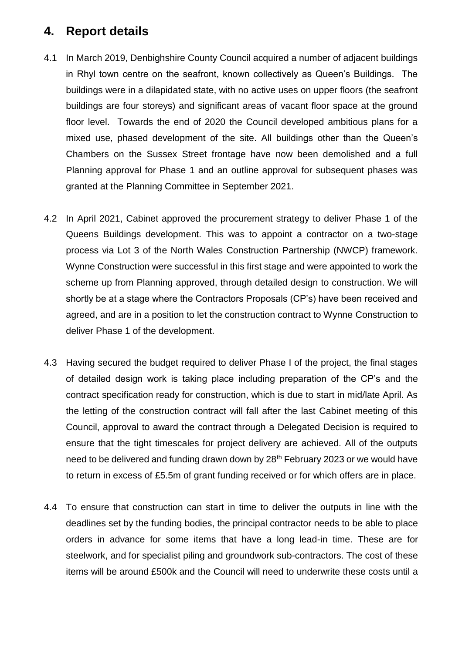# **4. Report details**

- 4.1 In March 2019, Denbighshire County Council acquired a number of adjacent buildings in Rhyl town centre on the seafront, known collectively as Queen's Buildings. The buildings were in a dilapidated state, with no active uses on upper floors (the seafront buildings are four storeys) and significant areas of vacant floor space at the ground floor level. Towards the end of 2020 the Council developed ambitious plans for a mixed use, phased development of the site. All buildings other than the Queen's Chambers on the Sussex Street frontage have now been demolished and a full Planning approval for Phase 1 and an outline approval for subsequent phases was granted at the Planning Committee in September 2021.
- 4.2 In April 2021, Cabinet approved the procurement strategy to deliver Phase 1 of the Queens Buildings development. This was to appoint a contractor on a two-stage process via Lot 3 of the North Wales Construction Partnership (NWCP) framework. Wynne Construction were successful in this first stage and were appointed to work the scheme up from Planning approved, through detailed design to construction. We will shortly be at a stage where the Contractors Proposals (CP's) have been received and agreed, and are in a position to let the construction contract to Wynne Construction to deliver Phase 1 of the development.
- 4.3 Having secured the budget required to deliver Phase I of the project, the final stages of detailed design work is taking place including preparation of the CP's and the contract specification ready for construction, which is due to start in mid/late April. As the letting of the construction contract will fall after the last Cabinet meeting of this Council, approval to award the contract through a Delegated Decision is required to ensure that the tight timescales for project delivery are achieved. All of the outputs need to be delivered and funding drawn down by 28<sup>th</sup> February 2023 or we would have to return in excess of £5.5m of grant funding received or for which offers are in place.
- 4.4 To ensure that construction can start in time to deliver the outputs in line with the deadlines set by the funding bodies, the principal contractor needs to be able to place orders in advance for some items that have a long lead-in time. These are for steelwork, and for specialist piling and groundwork sub-contractors. The cost of these items will be around £500k and the Council will need to underwrite these costs until a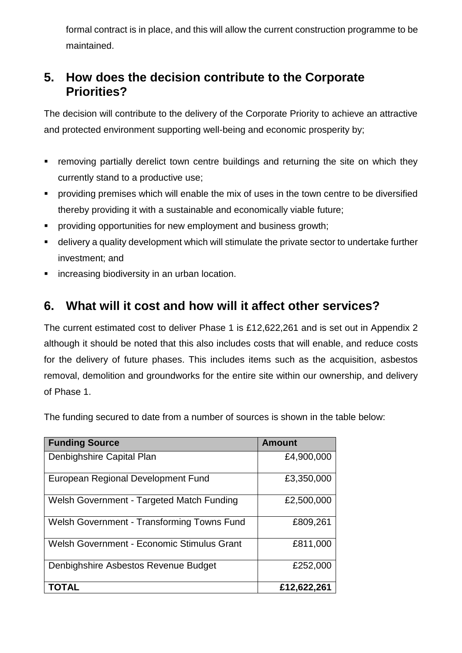formal contract is in place, and this will allow the current construction programme to be maintained.

# **5. How does the decision contribute to the Corporate Priorities?**

The decision will contribute to the delivery of the Corporate Priority to achieve an attractive and protected environment supporting well-being and economic prosperity by;

- **F** removing partially derelict town centre buildings and returning the site on which they currently stand to a productive use;
- **Peroviding premises which will enable the mix of uses in the town centre to be diversified** thereby providing it with a sustainable and economically viable future;
- **PEDECITE:** providing opportunities for new employment and business growth;
- delivery a quality development which will stimulate the private sector to undertake further investment; and
- **EXEDENT** increasing biodiversity in an urban location.

# **6. What will it cost and how will it affect other services?**

The current estimated cost to deliver Phase 1 is £12,622,261 and is set out in Appendix 2 although it should be noted that this also includes costs that will enable, and reduce costs for the delivery of future phases. This includes items such as the acquisition, asbestos removal, demolition and groundworks for the entire site within our ownership, and delivery of Phase 1.

The funding secured to date from a number of sources is shown in the table below:

| <b>Funding Source</b>                      | <b>Amount</b> |
|--------------------------------------------|---------------|
| Denbighshire Capital Plan                  | £4,900,000    |
| European Regional Development Fund         | £3,350,000    |
| Welsh Government - Targeted Match Funding  | £2,500,000    |
| Welsh Government - Transforming Towns Fund | £809,261      |
| Welsh Government - Economic Stimulus Grant | £811,000      |
| Denbighshire Asbestos Revenue Budget       | £252,000      |
| TOTAL                                      | £12,622,261   |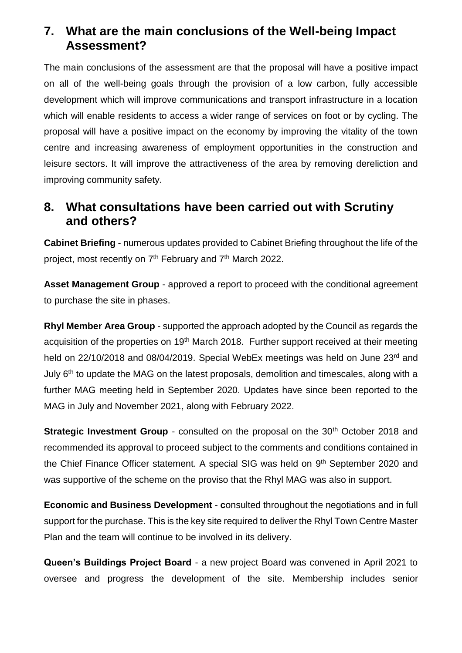### **7. What are the main conclusions of the Well-being Impact Assessment?**

The main conclusions of the assessment are that the proposal will have a positive impact on all of the well-being goals through the provision of a low carbon, fully accessible development which will improve communications and transport infrastructure in a location which will enable residents to access a wider range of services on foot or by cycling. The proposal will have a positive impact on the economy by improving the vitality of the town centre and increasing awareness of employment opportunities in the construction and leisure sectors. It will improve the attractiveness of the area by removing dereliction and improving community safety.

#### **8. What consultations have been carried out with Scrutiny and others?**

**Cabinet Briefing** - numerous updates provided to Cabinet Briefing throughout the life of the project, most recently on 7<sup>th</sup> February and 7<sup>th</sup> March 2022.

**Asset Management Group** - approved a report to proceed with the conditional agreement to purchase the site in phases.

**Rhyl Member Area Group** - supported the approach adopted by the Council as regards the acquisition of the properties on 19<sup>th</sup> March 2018. Further support received at their meeting held on 22/10/2018 and 08/04/2019. Special WebEx meetings was held on June 23rd and July 6<sup>th</sup> to update the MAG on the latest proposals, demolition and timescales, along with a further MAG meeting held in September 2020. Updates have since been reported to the MAG in July and November 2021, along with February 2022.

**Strategic Investment Group -** consulted on the proposal on the 30<sup>th</sup> October 2018 and recommended its approval to proceed subject to the comments and conditions contained in the Chief Finance Officer statement. A special SIG was held on 9<sup>th</sup> September 2020 and was supportive of the scheme on the proviso that the Rhyl MAG was also in support.

**Economic and Business Development** - **c**onsulted throughout the negotiations and in full support for the purchase. This is the key site required to deliver the Rhyl Town Centre Master Plan and the team will continue to be involved in its delivery.

**Queen's Buildings Project Board** - a new project Board was convened in April 2021 to oversee and progress the development of the site. Membership includes senior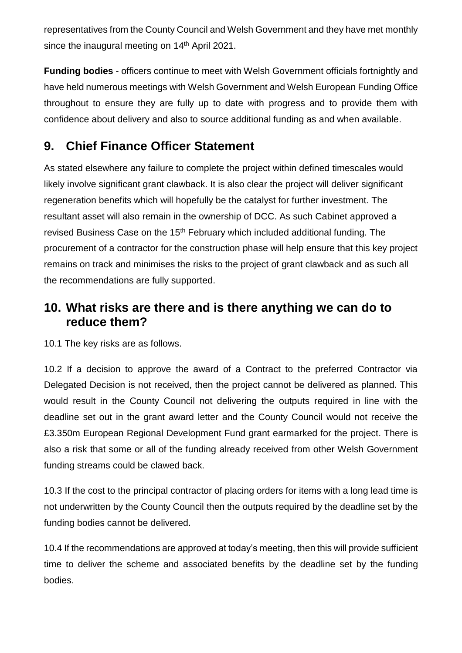representatives from the County Council and Welsh Government and they have met monthly since the inaugural meeting on 14<sup>th</sup> April 2021.

**Funding bodies** - officers continue to meet with Welsh Government officials fortnightly and have held numerous meetings with Welsh Government and Welsh European Funding Office throughout to ensure they are fully up to date with progress and to provide them with confidence about delivery and also to source additional funding as and when available.

# **9. Chief Finance Officer Statement**

As stated elsewhere any failure to complete the project within defined timescales would likely involve significant grant clawback. It is also clear the project will deliver significant regeneration benefits which will hopefully be the catalyst for further investment. The resultant asset will also remain in the ownership of DCC. As such Cabinet approved a revised Business Case on the 15<sup>th</sup> February which included additional funding. The procurement of a contractor for the construction phase will help ensure that this key project remains on track and minimises the risks to the project of grant clawback and as such all the recommendations are fully supported.

### **10. What risks are there and is there anything we can do to reduce them?**

10.1 The key risks are as follows.

10.2 If a decision to approve the award of a Contract to the preferred Contractor via Delegated Decision is not received, then the project cannot be delivered as planned. This would result in the County Council not delivering the outputs required in line with the deadline set out in the grant award letter and the County Council would not receive the £3.350m European Regional Development Fund grant earmarked for the project. There is also a risk that some or all of the funding already received from other Welsh Government funding streams could be clawed back.

10.3 If the cost to the principal contractor of placing orders for items with a long lead time is not underwritten by the County Council then the outputs required by the deadline set by the funding bodies cannot be delivered.

10.4 If the recommendations are approved at today's meeting, then this will provide sufficient time to deliver the scheme and associated benefits by the deadline set by the funding bodies.